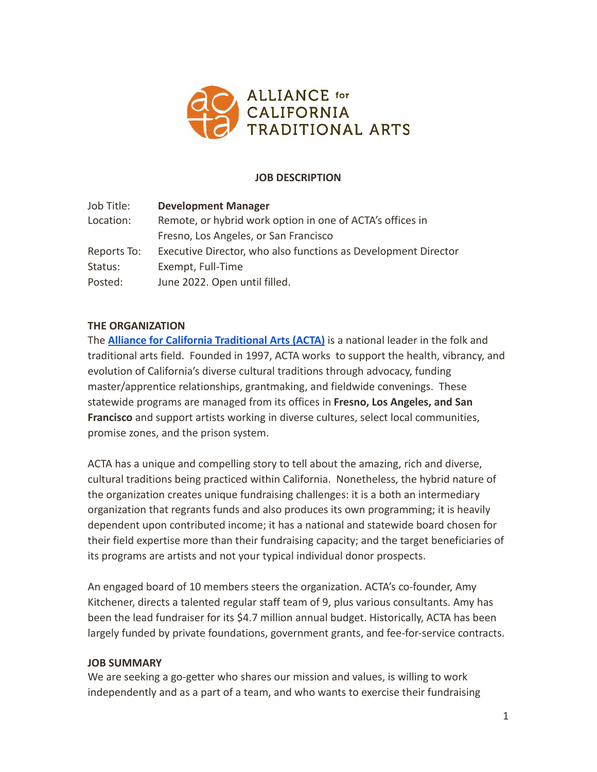

### **JOB DESCRIPTION**

| Job Title:  | <b>Development Manager</b>                                     |  |
|-------------|----------------------------------------------------------------|--|
| Location:   | Remote, or hybrid work option in one of ACTA's offices in      |  |
|             | Fresno, Los Angeles, or San Francisco                          |  |
| Reports To: | Executive Director, who also functions as Development Director |  |
| Status:     | Exempt, Full-Time                                              |  |
| Posted:     | June 2022. Open until filled.                                  |  |

### **THE ORGANIZATION**

The **[Alliance for California Traditional Arts \(ACTA\)](https://actaonline.org/)** is a national leader in the folk and traditional arts field. Founded in 1997, ACTA works to support the health, vibrancy, and evolution of California's diverse cultural traditions through advocacy, funding master/apprentice relationships, grantmaking, and fieldwide convenings. These statewide programs are managed from its offices in **Fresno, Los Angeles, and San Francisco** and support artists working in diverse cultures, select local communities, promise zones, and the prison system.

ACTA has a unique and compelling story to tell about the amazing, rich and diverse, cultural traditions being practiced within California. Nonetheless, the hybrid nature of the organization creates unique fundraising challenges: it is a both an intermediary organization that regrants funds and also produces its own programming; it is heavily dependent upon contributed income; it has a national and statewide board chosen for their field expertise more than their fundraising capacity; and the target beneficiaries of its programs are artists and not your typical individual donor prospects.

An engaged board of 10 members steers the organization. ACTA's co-founder, Amy Kitchener, directs a talented regular staff team of 9, plus various consultants. Amy has been the lead fundraiser for its \$4.7 million annual budget. Historically, ACTA has been largely funded by private foundations, government grants, and fee-for-service contracts.

#### **JOB SUMMARY**

We are seeking a go-getter who shares our mission and values, is willing to work independently and as a part of a team, and who wants to exercise their fundraising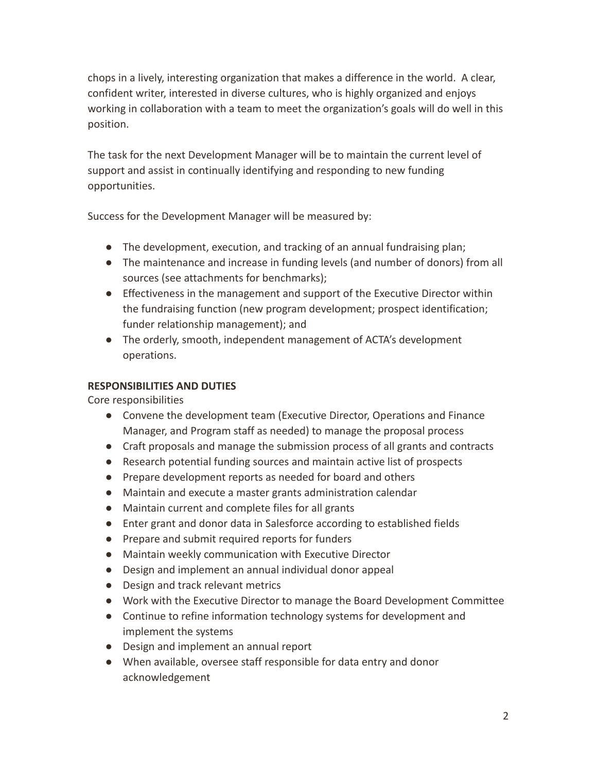chops in a lively, interesting organization that makes a difference in the world. A clear, confident writer, interested in diverse cultures, who is highly organized and enjoys working in collaboration with a team to meet the organization's goals will do well in this position.

The task for the next Development Manager will be to maintain the current level of support and assist in continually identifying and responding to new funding opportunities.

Success for the Development Manager will be measured by:

- The development, execution, and tracking of an annual fundraising plan;
- The maintenance and increase in funding levels (and number of donors) from all sources (see attachments for benchmarks);
- Effectiveness in the management and support of the Executive Director within the fundraising function (new program development; prospect identification; funder relationship management); and
- The orderly, smooth, independent management of ACTA's development operations.

# **RESPONSIBILITIES AND DUTIES**

Core responsibilities

- Convene the development team (Executive Director, Operations and Finance Manager, and Program staff as needed) to manage the proposal process
- Craft proposals and manage the submission process of all grants and contracts
- Research potential funding sources and maintain active list of prospects
- Prepare development reports as needed for board and others
- Maintain and execute a master grants administration calendar
- Maintain current and complete files for all grants
- Enter grant and donor data in Salesforce according to established fields
- Prepare and submit required reports for funders
- Maintain weekly communication with Executive Director
- Design and implement an annual individual donor appeal
- Design and track relevant metrics
- Work with the Executive Director to manage the Board Development Committee
- Continue to refine information technology systems for development and implement the systems
- Design and implement an annual report
- When available, oversee staff responsible for data entry and donor acknowledgement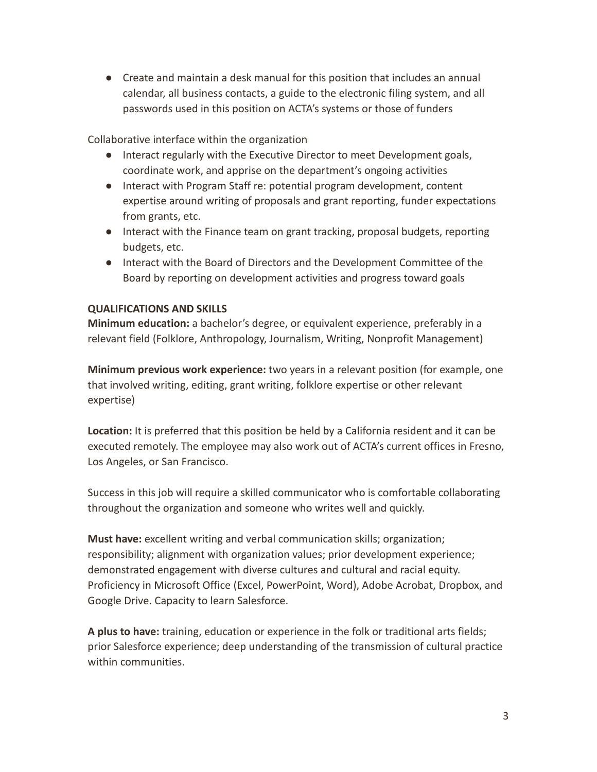● Create and maintain a desk manual for this position that includes an annual calendar, all business contacts, a guide to the electronic filing system, and all passwords used in this position on ACTA's systems or those of funders

Collaborative interface within the organization

- Interact regularly with the Executive Director to meet Development goals, coordinate work, and apprise on the department's ongoing activities
- Interact with Program Staff re: potential program development, content expertise around writing of proposals and grant reporting, funder expectations from grants, etc.
- Interact with the Finance team on grant tracking, proposal budgets, reporting budgets, etc.
- Interact with the Board of Directors and the Development Committee of the Board by reporting on development activities and progress toward goals

## **QUALIFICATIONS AND SKILLS**

**Minimum education:** a bachelor's degree, or equivalent experience, preferably in a relevant field (Folklore, Anthropology, Journalism, Writing, Nonprofit Management)

**Minimum previous work experience:** two years in a relevant position (for example, one that involved writing, editing, grant writing, folklore expertise or other relevant expertise)

**Location:** It is preferred that this position be held by a California resident and it can be executed remotely. The employee may also work out of ACTA's current offices in Fresno, Los Angeles, or San Francisco.

Success in this job will require a skilled communicator who is comfortable collaborating throughout the organization and someone who writes well and quickly.

**Must have:** excellent writing and verbal communication skills; organization; responsibility; alignment with organization values; prior development experience; demonstrated engagement with diverse cultures and cultural and racial equity. Proficiency in Microsoft Office (Excel, PowerPoint, Word), Adobe Acrobat, Dropbox, and Google Drive. Capacity to learn Salesforce.

**A plus to have:** training, education or experience in the folk or traditional arts fields; prior Salesforce experience; deep understanding of the transmission of cultural practice within communities.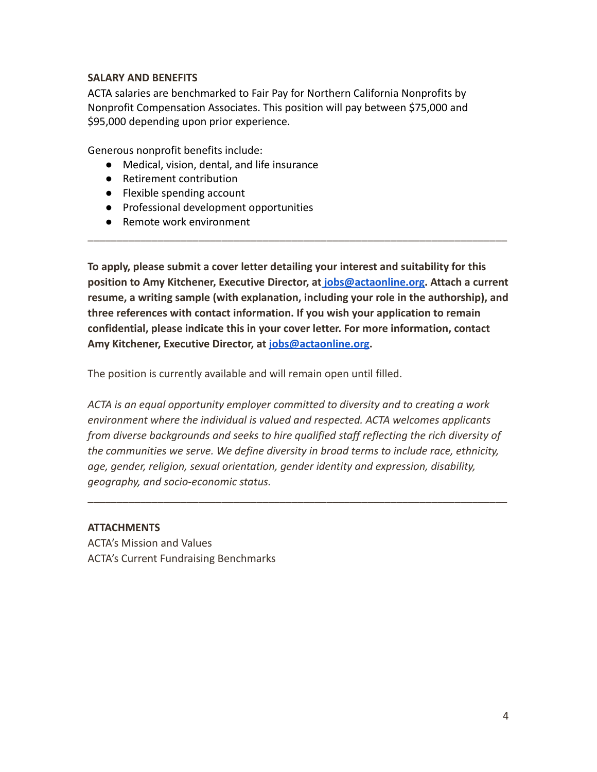### **SALARY AND BENEFITS**

ACTA salaries are benchmarked to Fair Pay for Northern California Nonprofits by Nonprofit Compensation Associates. This position will pay between \$75,000 and \$95,000 depending upon prior experience.

Generous nonprofit benefits include:

- Medical, vision, dental, and life insurance
- Retirement contribution
- Flexible spending account
- Professional development opportunities
- Remote work environment

**To apply, please submit a cover letter detailing your interest and suitability for this position to Amy Kitchener, Executive Director, at [jobs@actaonline.org.](mailto:jobs@actaonline.org) Attach a current resume, a writing sample (with explanation, including your role in the authorship), and three references with contact information. If you wish your application to remain confidential, please indicate this in your cover letter. For more information, contact Amy Kitchener, Executive Director, at [jobs@actaonline.org](mailto:jobs@actaonline.org).**

\_\_\_\_\_\_\_\_\_\_\_\_\_\_\_\_\_\_\_\_\_\_\_\_\_\_\_\_\_\_\_\_\_\_\_\_\_\_\_\_\_\_\_\_\_\_\_\_\_\_\_\_\_\_\_\_\_\_\_\_\_\_\_\_\_\_\_\_\_\_\_\_

The position is currently available and will remain open until filled.

*ACTA is an equal opportunity employer committed to diversity and to creating a work environment where the individual is valued and respected. ACTA welcomes applicants from diverse backgrounds and seeks to hire qualified staff reflecting the rich diversity of the communities we serve. We define diversity in broad terms to include race, ethnicity, age, gender, religion, sexual orientation, gender identity and expression, disability, geography, and socio-economic status.*

\_\_\_\_\_\_\_\_\_\_\_\_\_\_\_\_\_\_\_\_\_\_\_\_\_\_\_\_\_\_\_\_\_\_\_\_\_\_\_\_\_\_\_\_\_\_\_\_\_\_\_\_\_\_\_\_\_\_\_\_\_\_\_\_\_\_\_\_\_\_\_\_

### **ATTACHMENTS**

ACTA's Mission and Values ACTA's Current Fundraising Benchmarks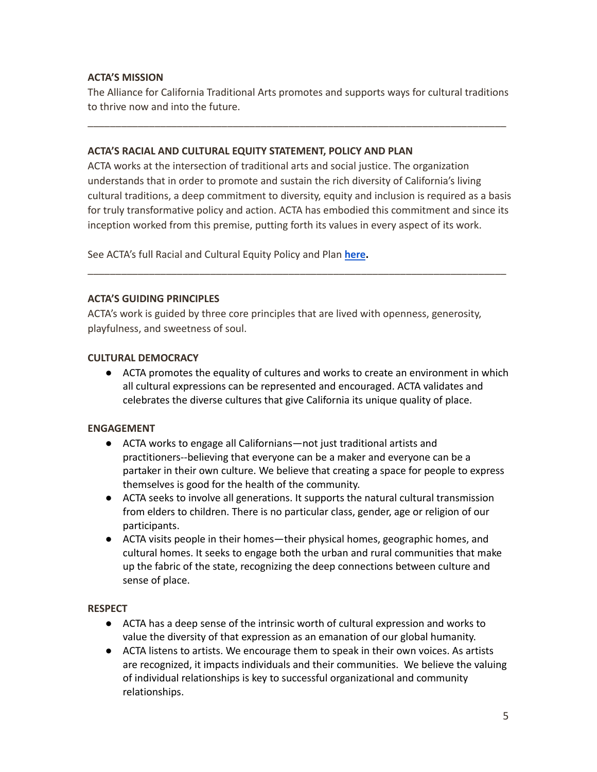## **ACTA'S MISSION**

The Alliance for California Traditional Arts promotes and supports ways for cultural traditions to thrive now and into the future.

\_\_\_\_\_\_\_\_\_\_\_\_\_\_\_\_\_\_\_\_\_\_\_\_\_\_\_\_\_\_\_\_\_\_\_\_\_\_\_\_\_\_\_\_\_\_\_\_\_\_\_\_\_\_\_\_\_\_\_\_\_\_\_\_\_\_\_\_\_\_\_\_\_\_\_

### **ACTA'S RACIAL AND CULTURAL EQUITY STATEMENT, POLICY AND PLAN**

ACTA works at the intersection of traditional arts and social justice. The organization understands that in order to promote and sustain the rich diversity of California's living cultural traditions, a deep commitment to diversity, equity and inclusion is required as a basis for truly transformative policy and action. ACTA has embodied this commitment and since its inception worked from this premise, putting forth its values in every aspect of its work.

\_\_\_\_\_\_\_\_\_\_\_\_\_\_\_\_\_\_\_\_\_\_\_\_\_\_\_\_\_\_\_\_\_\_\_\_\_\_\_\_\_\_\_\_\_\_\_\_\_\_\_\_\_\_\_\_\_\_\_\_\_\_\_\_\_\_\_\_\_\_\_\_\_\_\_

See ACTA's full Racial and Cultural Equity Policy and Plan **[here](https://actaonline.org/cultural-and-racial-equity-policy/).**

#### **ACTA'S GUIDING PRINCIPLES**

ACTA's work is guided by three core principles that are lived with openness, generosity, playfulness, and sweetness of soul.

#### **CULTURAL DEMOCRACY**

● ACTA promotes the equality of cultures and works to create an environment in which all cultural expressions can be represented and encouraged. ACTA validates and celebrates the diverse cultures that give California its unique quality of place.

### **ENGAGEMENT**

- ACTA works to engage all Californians—not just traditional artists and practitioners--believing that everyone can be a maker and everyone can be a partaker in their own culture. We believe that creating a space for people to express themselves is good for the health of the community.
- ACTA seeks to involve all generations. It supports the natural cultural transmission from elders to children. There is no particular class, gender, age or religion of our participants.
- ACTA visits people in their homes—their physical homes, geographic homes, and cultural homes. It seeks to engage both the urban and rural communities that make up the fabric of the state, recognizing the deep connections between culture and sense of place.

### **RESPECT**

- ACTA has a deep sense of the intrinsic worth of cultural expression and works to value the diversity of that expression as an emanation of our global humanity.
- ACTA listens to artists. We encourage them to speak in their own voices. As artists are recognized, it impacts individuals and their communities. We believe the valuing of individual relationships is key to successful organizational and community relationships.